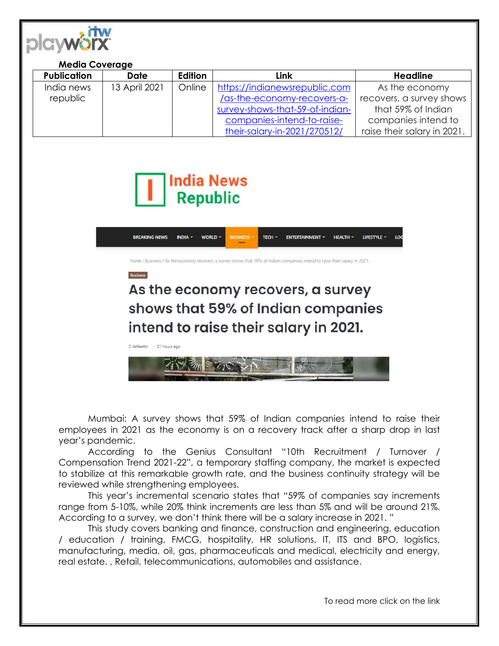

## **Media Coverage**

| <b>Publication</b> | Date          | Edition | Link                            | Headline                    |
|--------------------|---------------|---------|---------------------------------|-----------------------------|
| India news         | 13 April 2021 | Online  | https://indianewsrepublic.com   | As the economy              |
| republic           |               |         | /as-the-economy-recovers-a-     | recovers, a survey shows    |
|                    |               |         | survey-shows-that-59-of-indian- | that 59% of Indian          |
|                    |               |         | companies-intend-to-raise-      | companies intend to         |
|                    |               |         | their-salary-in-2021/270512/    | raise their salary in 2021. |



**Rusiness** 

D lalitsethi - 21 hours ago



e / Business / As the economy recovers, a survey shows that 59% of Indian companies intend to raise their salary in 2021.

## As the economy recovers, a survey shows that 59% of Indian companies intend to raise their salary in 2021.

インライミンド

Mumbai: A survey shows that 59% of Indian companies intend to raise their employees in 2021 as the economy is on a recovery track after a sharp drop in last year's pandemic.

According to the Genius Consultant "10th Recruitment / Turnover / Compensation Trend 2021-22", a temporary staffing company, the market is expected to stabilize at this remarkable growth rate, and the business continuity strategy will be reviewed while strengthening employees.

This year's incremental scenario states that "59% of companies say increments range from 5-10%, while 20% think increments are less than 5% and will be around 21%. According to a survey, we don't think there will be a salary increase in 2021. "

This study covers banking and finance, construction and engineering, education / education / training, FMCG, hospitality, HR solutions, IT, ITS and BPO, logistics, manufacturing, media, oil, gas, pharmaceuticals and medical, electricity and energy, real estate. , Retail, telecommunications, automobiles and assistance.

To read more click on the link